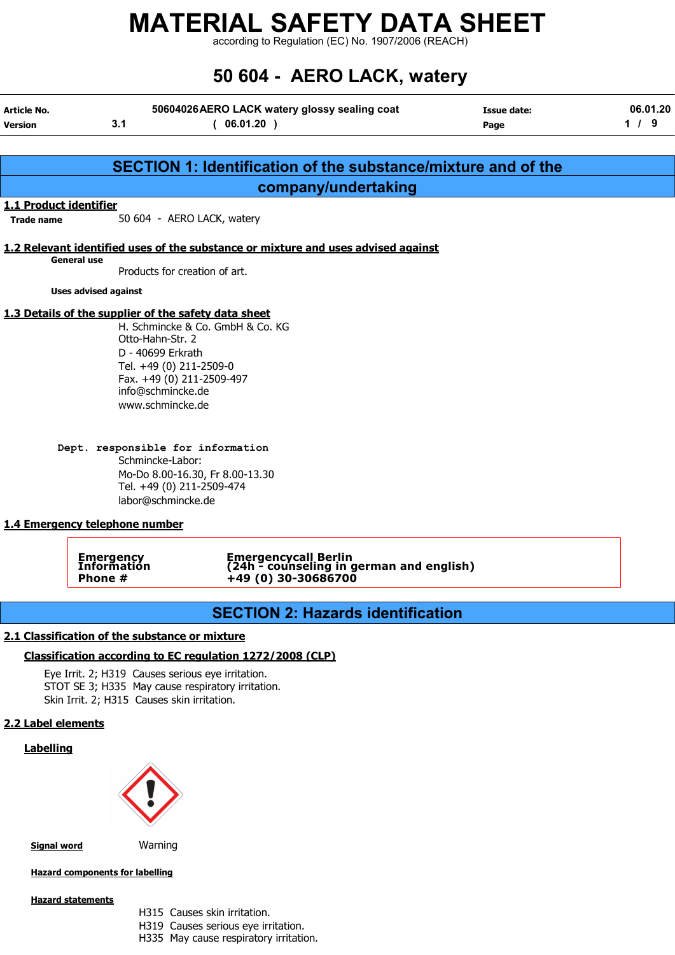according to Regulation (EC) No. 1907/2006 (REACH)

# 50 604 - AERO LACK, watery

| <b>Article No.</b><br><b>Version</b> | 3.1              | 50604026 AERO LACK watery glossy sealing coat<br>(06.01.20)                                                                                                                                                    | <b>Issue date:</b><br>Page | 06.01.20<br>$1/9$ |
|--------------------------------------|------------------|----------------------------------------------------------------------------------------------------------------------------------------------------------------------------------------------------------------|----------------------------|-------------------|
|                                      |                  |                                                                                                                                                                                                                |                            |                   |
|                                      |                  | SECTION 1: Identification of the substance/mixture and of the                                                                                                                                                  |                            |                   |
|                                      |                  | company/undertaking                                                                                                                                                                                            |                            |                   |
| 1.1 Product identifier               |                  |                                                                                                                                                                                                                |                            |                   |
| <b>Trade name</b>                    |                  | 50 604 - AERO LACK, watery                                                                                                                                                                                     |                            |                   |
|                                      |                  | 1.2 Relevant identified uses of the substance or mixture and uses advised against                                                                                                                              |                            |                   |
| <b>General use</b>                   |                  | Products for creation of art.                                                                                                                                                                                  |                            |                   |
| <b>Uses advised against</b>          |                  |                                                                                                                                                                                                                |                            |                   |
|                                      | Otto-Hahn-Str. 2 | 1.3 Details of the supplier of the safety data sheet<br>H. Schmincke & Co. GmbH & Co. KG<br>D - 40699 Erkrath<br>Tel. +49 (0) 211-2509-0<br>Fax. +49 (0) 211-2509-497<br>info@schmincke.de<br>www.schmincke.de |                            |                   |
| 1.4 Emergency telephone number       |                  | Dept. responsible for information<br>Schmincke-Labor:<br>Mo-Do 8.00-16.30, Fr 8.00-13.30<br>Tel. +49 (0) 211-2509-474<br>labor@schmincke.de                                                                    |                            |                   |
|                                      | <b>Emergency</b> | <b>Emergencycall Berlin</b>                                                                                                                                                                                    |                            |                   |

Emergency Emergencycall Berlin Information (24h - counseling in german and english) Phone #  $+49(0)30-30686700$ 

## SECTION 2: Hazards identification

#### 2.1 Classification of the substance or mixture

#### Classification according to EC regulation 1272/2008 (CLP)

Eye Irrit. 2; H319 Causes serious eye irritation. STOT SE 3; H335 May cause respiratory irritation. Skin Irrit. 2; H315 Causes skin irritation.

#### 2.2 Label elements

#### **Labelling**



**Signal word** Warning

Hazard components for labelling

#### Hazard statements

- H315 Causes skin irritation.
- H319 Causes serious eye irritation.
- H335 May cause respiratory irritation.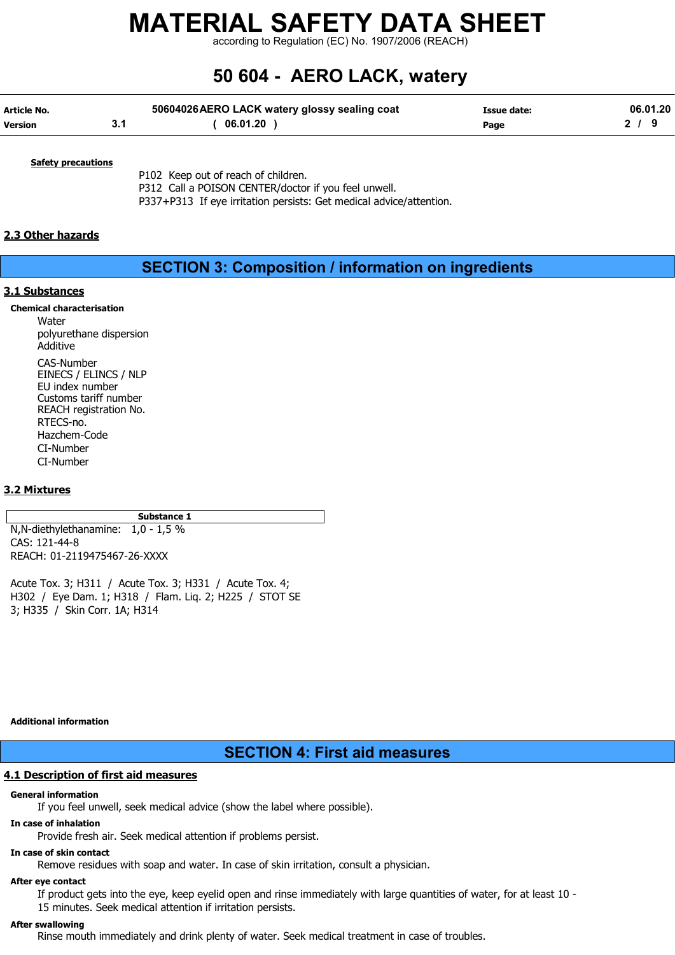according to Regulation (EC) No. 1907/2006 (REACH)

# 50 604 - AERO LACK, watery

| Article No.    | 50604026 AERO LACK watery glossy sealing coat | Issue date: | 06.01.20 |
|----------------|-----------------------------------------------|-------------|----------|
| <b>Version</b> | 06.01.20                                      | Page        |          |

**Safety precautions** 

P102 Keep out of reach of children. P312 Call a POISON CENTER/doctor if you feel unwell. P337+P313 If eye irritation persists: Get medical advice/attention.

#### 2.3 Other hazards

### SECTION 3: Composition / information on ingredients

#### 3.1 Substances

Chemical characterisation

Water polyurethane dispersion Additive CAS-Number EINECS / ELINCS / NLP EU index number Customs tariff number REACH registration No. RTECS-no. Hazchem-Code CI-Number CI-Number

#### 3.2 Mixtures

Substance 1 N,N-diethylethanamine: 1,0 - 1,5 % CAS: 121-44-8 REACH: 01-2119475467-26-XXXX

Acute Tox. 3; H311 / Acute Tox. 3; H331 / Acute Tox. 4; H302 / Eye Dam. 1; H318 / Flam. Liq. 2; H225 / STOT SE 3; H335 / Skin Corr. 1A; H314

Additional information

### SECTION 4: First aid measures

#### 4.1 Description of first aid measures

#### General information

If you feel unwell, seek medical advice (show the label where possible).

#### In case of inhalation

Provide fresh air. Seek medical attention if problems persist.

#### In case of skin contact

Remove residues with soap and water. In case of skin irritation, consult a physician.

#### After eye contact

If product gets into the eye, keep eyelid open and rinse immediately with large quantities of water, for at least 10 - 15 minutes. Seek medical attention if irritation persists.

#### After swallowing

Rinse mouth immediately and drink plenty of water. Seek medical treatment in case of troubles.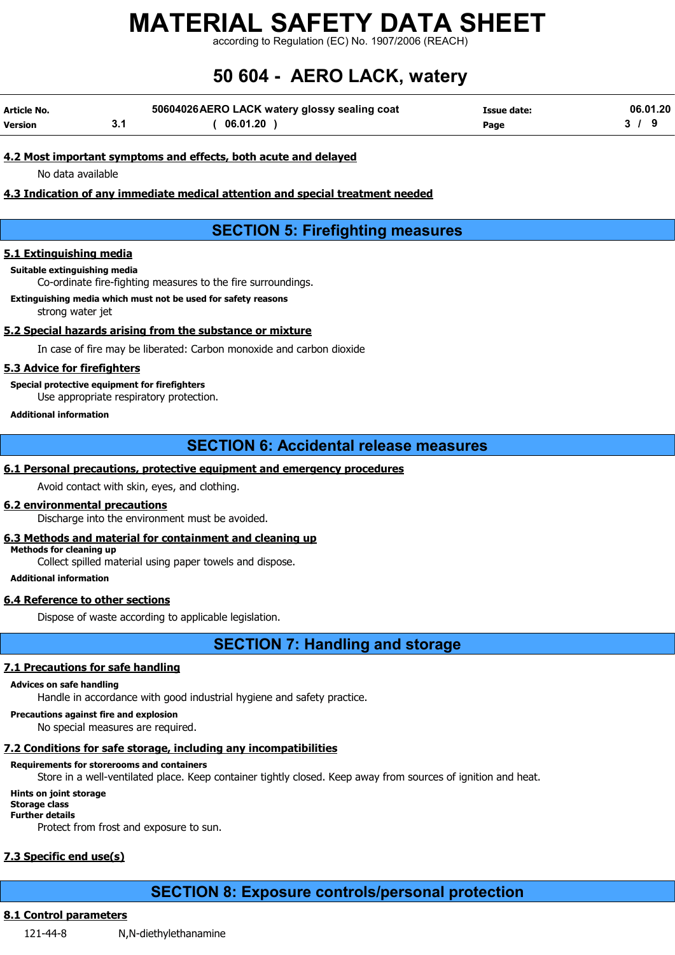according to Regulation (EC) No. 1907/2006 (REACH)

# 50 604 - AERO LACK, watery

| Article No. | 50604026 AERO LACK watery glossy sealing coat | Issue date: | 06.01.20 |
|-------------|-----------------------------------------------|-------------|----------|
| Version     | 06.01.20                                      | Page        |          |

#### 4.2 Most important symptoms and effects, both acute and delayed

No data available

#### 4.3 Indication of any immediate medical attention and special treatment needed

## SECTION 5: Firefighting measures

#### 5.1 Extinguishing media

Suitable extinguishing media

Co-ordinate fire-fighting measures to the fire surroundings.

Extinguishing media which must not be used for safety reasons

strong water jet

#### 5.2 Special hazards arising from the substance or mixture

In case of fire may be liberated: Carbon monoxide and carbon dioxide

#### 5.3 Advice for firefighters

Special protective equipment for firefighters

Use appropriate respiratory protection.

#### Additional information

### SECTION 6: Accidental release measures

#### 6.1 Personal precautions, protective equipment and emergency procedures

Avoid contact with skin, eyes, and clothing.

#### 6.2 environmental precautions

Discharge into the environment must be avoided.

#### 6.3 Methods and material for containment and cleaning up

Methods for cleaning up Collect spilled material using paper towels and dispose.

Additional information

#### 6.4 Reference to other sections

Dispose of waste according to applicable legislation.

SECTION 7: Handling and storage

#### 7.1 Precautions for safe handling

#### Advices on safe handling

Handle in accordance with good industrial hygiene and safety practice.

#### Precautions against fire and explosion

No special measures are required.

#### 7.2 Conditions for safe storage, including any incompatibilities

#### Requirements for storerooms and containers

Store in a well-ventilated place. Keep container tightly closed. Keep away from sources of ignition and heat.

#### Hints on joint storage

Storage class

## Further details

Protect from frost and exposure to sun.

### 7.3 Specific end use(s)

## SECTION 8: Exposure controls/personal protection

### 8.1 Control parameters

121-44-8 N,N-diethylethanamine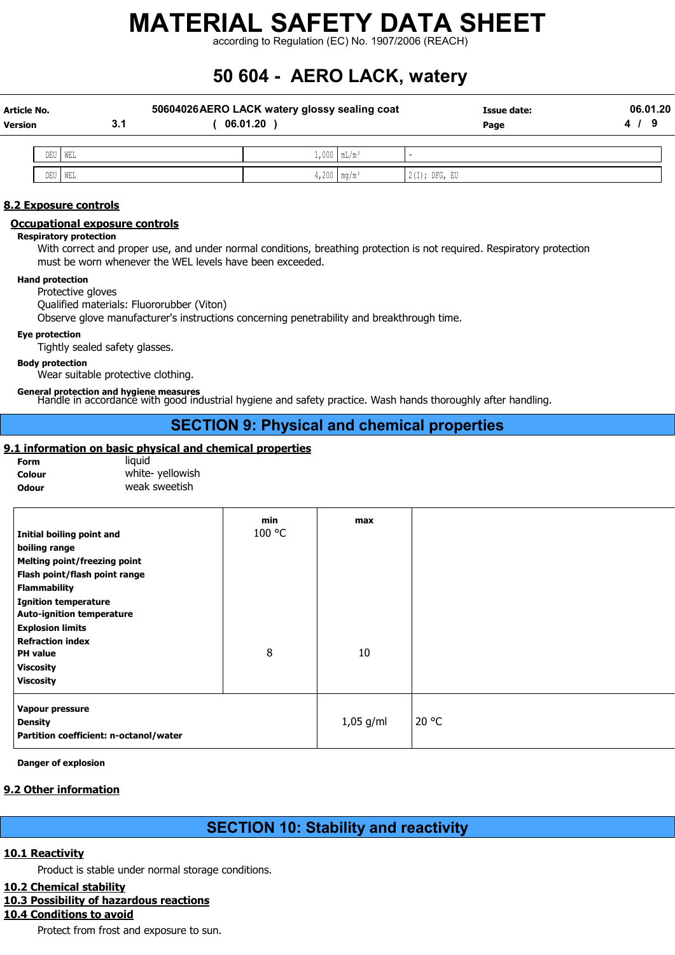according to Regulation (EC) No. 1907/2006 (REACH)

# 50 604 - AERO LACK, watery

| Article No.<br>Version | 3.1       | 50604026 AERO LACK watery glossy sealing coat<br>06.01.20 |                    | Issue date:<br>Page | 06.01.20 |
|------------------------|-----------|-----------------------------------------------------------|--------------------|---------------------|----------|
|                        | DEU WEL   |                                                           | $1,000$   $mL/m^3$ |                     |          |
|                        | DEU   WEL | 4,200   $mg/m^3$                                          |                    | $2(I);$ DFG, EU     |          |

#### 8.2 Exposure controls

#### Occupational exposure controls

#### Respiratory protection

With correct and proper use, and under normal conditions, breathing protection is not required. Respiratory protection must be worn whenever the WEL levels have been exceeded.

#### Hand protection

Protective gloves

Qualified materials: Fluororubber (Viton)

Observe glove manufacturer's instructions concerning penetrability and breakthrough time.

#### Eye protection

Tightly sealed safety glasses.

#### Body protection

Wear suitable protective clothing.

General protection and hygiene measures Handle in accordance with good industrial hygiene and safety practice. Wash hands thoroughly after handling.

## SECTION 9: Physical and chemical properties

#### 9.1 information on basic physical and chemical properties

| <b>Form</b>  | liauid          |
|--------------|-----------------|
| Colour       | white-yellowish |
| <b>Odour</b> | weak sweetish   |

| Initial boiling point and<br>boiling range<br><b>Melting point/freezing point</b><br>Flash point/flash point range<br><b>Flammability</b><br><b>Ignition temperature</b><br><b>Auto-ignition temperature</b> | min<br>100 °C | max         |       |
|--------------------------------------------------------------------------------------------------------------------------------------------------------------------------------------------------------------|---------------|-------------|-------|
| <b>Explosion limits</b><br><b>Refraction index</b><br><b>PH</b> value<br><b>Viscosity</b><br><b>Viscosity</b>                                                                                                | 8             | 10          |       |
| Vapour pressure<br><b>Density</b><br>Partition coefficient: n-octanol/water                                                                                                                                  |               | $1,05$ g/ml | 20 °C |

Danger of explosion

#### 9.2 Other information

## SECTION 10: Stability and reactivity

#### 10.1 Reactivity

Product is stable under normal storage conditions.

#### 10.2 Chemical stability

#### 10.3 Possibility of hazardous reactions

## 10.4 Conditions to avoid

Protect from frost and exposure to sun.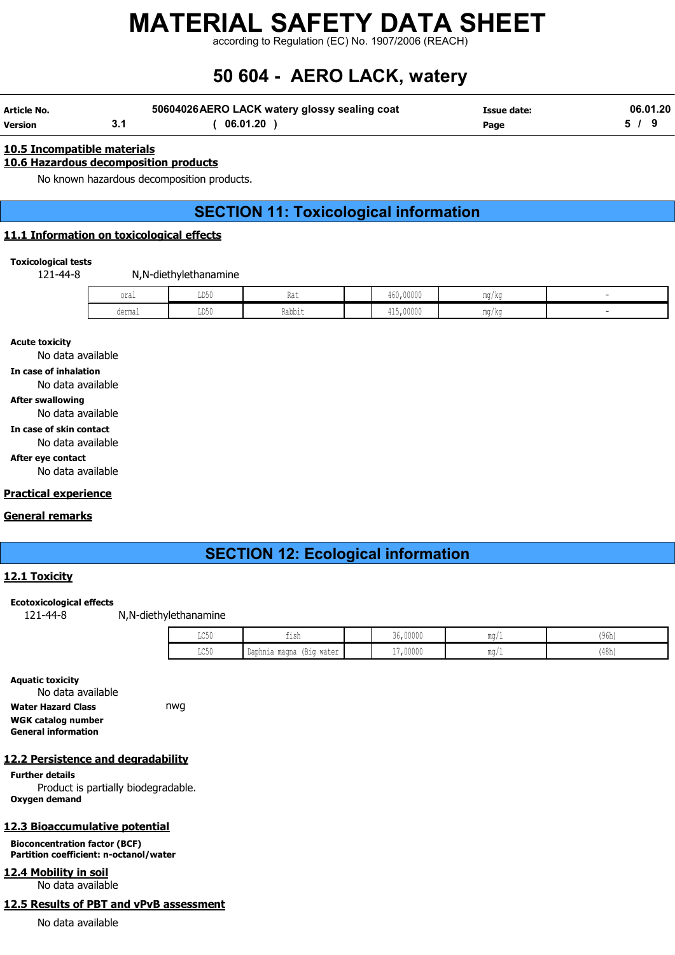according to Regulation (EC) No. 1907/2006 (REACH)

# 50 604 - AERO LACK, watery

| Article No. | 50604026 AERO LACK watery glossy sealing coat | <b>Issue date:</b> | 06.01.20 |
|-------------|-----------------------------------------------|--------------------|----------|
| Version     | 06.01.20                                      | Page               |          |

#### 10.5 Incompatible materials

#### 10.6 Hazardous decomposition products

No known hazardous decomposition products.

## SECTION 11: Toxicological information

#### 11.1 Information on toxicological effects

#### Toxicological tests

121-44-8 N,N-diethylethanamine

| oral   | $  -$<br>╜┚┙  | 1 w 6       | 460,00000 | ' / KU |  |
|--------|---------------|-------------|-----------|--------|--|
| dermal | $  -$<br>⊥⊔∪∪ | .<br>Rabbıt | 415,00000 | 77 KG  |  |

Acute toxicity

No data available

In case of inhalation

No data available

#### After swallowing

No data available

#### In case of skin contact

No data available

#### After eye contact

No data available

#### Practical experience

#### General remarks

## SECTION 12: Ecological information

#### 12.1 Toxicity

#### Ecotoxicological effects

121-44-8 N,N-diethylethanamine

| $T \cap E \cap$<br>コマンマ | $-1$<br>tısh                               | 36,00000 | $m \sim$<br>111M/L   | 10.01<br>, uhr<br>  J VII |
|-------------------------|--------------------------------------------|----------|----------------------|---------------------------|
| TOE0<br>コマンセ            | Daphnia magna<br><br>- 1 見さぐ<br>IPIN MATAL | 17,00000 | $m \sim r$<br>111M/L | (48h)                     |

Aquatic toxicity No data available Water Hazard Class **nwg** WGK catalog number General information

#### 12.2 Persistence and degradability

Further details Product is partially biodegradable. Oxygen demand

#### 12.3 Bioaccumulative potential

Bioconcentration factor (BCF) Partition coefficient: n-octanol/water

12.4 Mobility in soil

No data available

### 12.5 Results of PBT and vPvB assessment

No data available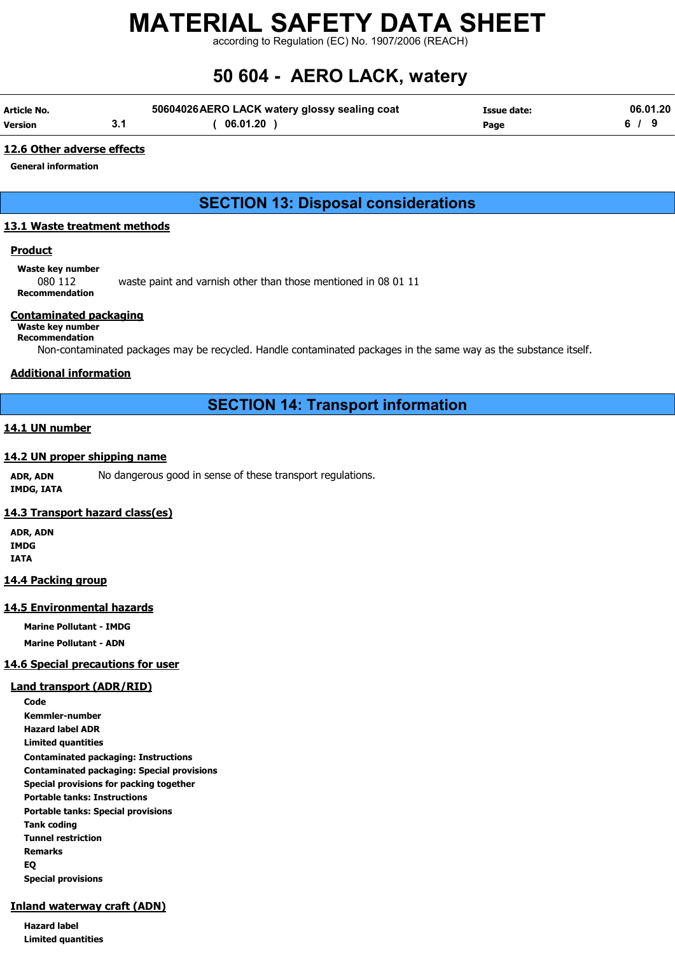according to Regulation (EC) No. 1907/2006 (REACH)

# 50 604 - AERO LACK, watery

| Article No. | 50604026 AERO LACK watery glossy sealing coat | Issue date: | 06.01.20 |
|-------------|-----------------------------------------------|-------------|----------|
| Version     | 06.01.20                                      | Page        |          |

#### 12.6 Other adverse effects

General information

## SECTION 13: Disposal considerations

#### 13.1 Waste treatment methods

#### **Product**

Waste key number

080 112 waste paint and varnish other than those mentioned in 08 01 11 Recommendation

#### Contaminated packaging

#### Waste key number Recommendation

Non-contaminated packages may be recycled. Handle contaminated packages in the same way as the substance itself.

#### Additional information

## SECTION 14: Transport information

#### 14.1 UN number

#### 14.2 UN proper shipping name

ADR, ADN No dangerous good in sense of these transport regulations. IMDG, IATA

#### 14.3 Transport hazard class(es)

ADR, ADN IMDG IATA

#### 14.4 Packing group

#### 14.5 Environmental hazards

Marine Pollutant - IMDG Marine Pollutant - ADN

#### 14.6 Special precautions for user

#### Land transport (ADR/RID)

Code Kemmler-number Hazard label ADR Limited quantities Contaminated packaging: Instructions Contaminated packaging: Special provisions Special provisions for packing together Portable tanks: Instructions Portable tanks: Special provisions Tank coding Tunnel restriction Remarks EQ Special provisions

#### Inland waterway craft (ADN)

Hazard label Limited quantities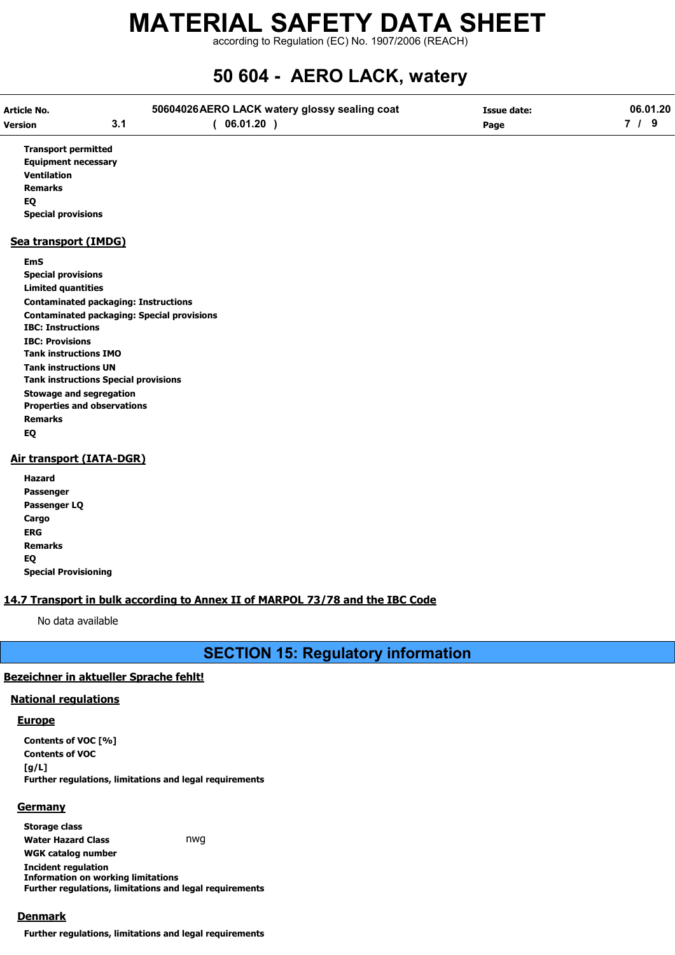according to Regulation (EC) No. 1907/2006 (REACH)

# 50 604 - AERO LACK, watery

| Article No.                  |                                                   | 50604026 AERO LACK watery glossy sealing coat | <b>Issue date:</b> | 06.01.20 |  |
|------------------------------|---------------------------------------------------|-----------------------------------------------|--------------------|----------|--|
| <b>Version</b>               | 3.1                                               | 06.01.20)                                     | Page               | 7/9      |  |
| <b>Transport permitted</b>   |                                                   |                                               |                    |          |  |
| <b>Equipment necessary</b>   |                                                   |                                               |                    |          |  |
| <b>Ventilation</b>           |                                                   |                                               |                    |          |  |
| <b>Remarks</b>               |                                                   |                                               |                    |          |  |
| EQ                           |                                                   |                                               |                    |          |  |
| <b>Special provisions</b>    |                                                   |                                               |                    |          |  |
| Sea transport (IMDG)         |                                                   |                                               |                    |          |  |
| <b>EmS</b>                   |                                                   |                                               |                    |          |  |
| <b>Special provisions</b>    |                                                   |                                               |                    |          |  |
| <b>Limited quantities</b>    |                                                   |                                               |                    |          |  |
|                              | <b>Contaminated packaging: Instructions</b>       |                                               |                    |          |  |
|                              | <b>Contaminated packaging: Special provisions</b> |                                               |                    |          |  |
| <b>IBC: Instructions</b>     |                                                   |                                               |                    |          |  |
| <b>IBC: Provisions</b>       |                                                   |                                               |                    |          |  |
| <b>Tank instructions IMO</b> |                                                   |                                               |                    |          |  |
| <b>Tank instructions UN</b>  |                                                   |                                               |                    |          |  |
|                              | <b>Tank instructions Special provisions</b>       |                                               |                    |          |  |
|                              | <b>Stowage and segregation</b>                    |                                               |                    |          |  |
|                              | <b>Properties and observations</b>                |                                               |                    |          |  |
| <b>Remarks</b>               |                                                   |                                               |                    |          |  |
| EQ                           |                                                   |                                               |                    |          |  |
|                              | Air transport (IATA-DGR)                          |                                               |                    |          |  |
| Hazard                       |                                                   |                                               |                    |          |  |

| Hazard                      |
|-----------------------------|
| Passenger                   |
| Passenger LQ                |
| Cargo                       |
| ERG                         |
| <b>Remarks</b>              |
| EO                          |
| <b>Special Provisioning</b> |

#### 14.7 Transport in bulk according to Annex II of MARPOL 73/78 and the IBC Code

No data available

SECTION 15: Regulatory information

#### Bezeichner in aktueller Sprache fehlt!

#### National regulations

#### **Europe**

Contents of VOC [%] Contents of VOC  $[g/L]$ Further regulations, limitations and legal requirements

#### **Germany**

Storage class Water Hazard Class **nwg** WGK catalog number Incident regulation Information on working limitations Further regulations, limitations and legal requirements

#### Denmark

Further regulations, limitations and legal requirements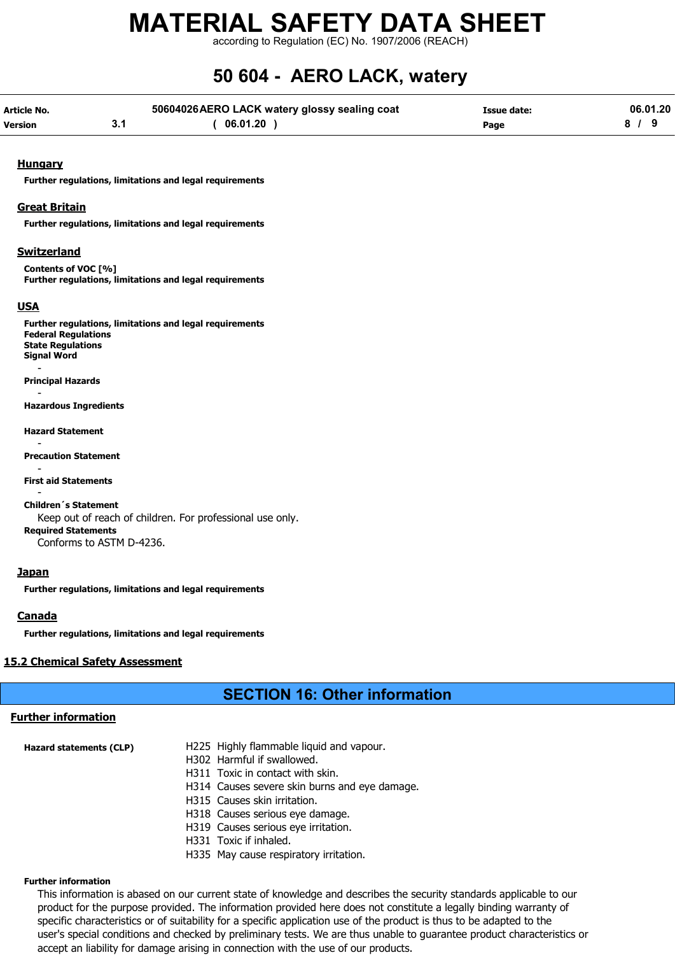according to Regulation (EC) No. 1907/2006 (REACH)

# 50 604 - AERO LACK, watery

| Article No.    | 50604026 AERO LACK watery glossy sealing coat | <b>Issue date:</b> | 06.01.20 |
|----------------|-----------------------------------------------|--------------------|----------|
| <b>Version</b> | 06.01.20                                      | Page               |          |

#### **Hungary**

Further regulations, limitations and legal requirements

#### Great Britain

Further regulations, limitations and legal requirements

#### **Switzerland**

Contents of VOC [%] Further regulations, limitations and legal requirements

#### USA

Further regulations, limitations and legal requirements Federal Regulations State Regulations Signal Word - Principal Hazards - Hazardous Ingredients Hazard Statement - Precaution Statement - First aid Statements - Children´s Statement Keep out of reach of children. For professional use only. Required Statements Conforms to ASTM D-4236.

#### Japan

Further regulations, limitations and legal requirements

#### **Canada**

Further regulations, limitations and legal requirements

#### 15.2 Chemical Safety Assessment

### SECTION 16: Other information

#### Further information

| H314 Causes severe skin burns and eye damage. |
|-----------------------------------------------|
|                                               |
|                                               |
|                                               |
|                                               |

- H331 Toxic if inhaled.
- H335 May cause respiratory irritation.

#### Further information

This information is abased on our current state of knowledge and describes the security standards applicable to our product for the purpose provided. The information provided here does not constitute a legally binding warranty of specific characteristics or of suitability for a specific application use of the product is thus to be adapted to the user's special conditions and checked by preliminary tests. We are thus unable to guarantee product characteristics or accept an liability for damage arising in connection with the use of our products.